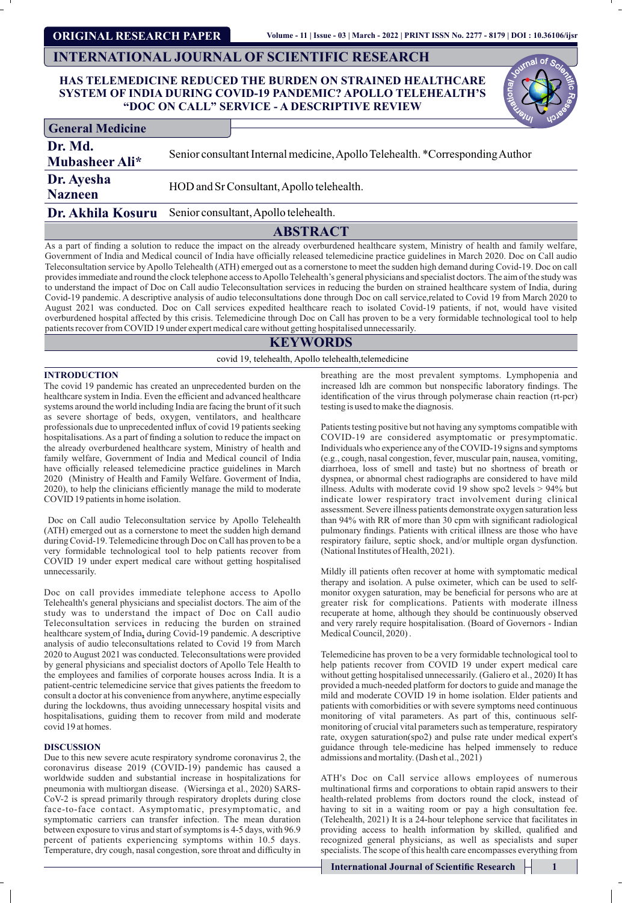**ORIGINAL RESEARCH PAPER**

# **INTERNATIONAL JOURNAL OF SCIENTIFIC RESEARCH**

## **HAS TELEMEDICINE REDUCED THE BURDEN ON STRAINED HEALTHCARE SYSTEM OF INDIA DURING COVID-19 PANDEMIC? APOLLO TELEHEALTH'S "DOC ON CALL" SERVICE - A DESCRIPTIVE REVIEW**

| <b>General Medicine</b>                                        |                                                                               |
|----------------------------------------------------------------|-------------------------------------------------------------------------------|
| Dr. Md.<br>Mubasheer Ali*                                      | Senior consultant Internal medicine, Apollo Telehealth. *Corresponding Author |
| Dr. Ayesha<br><b>Nazneen</b>                                   | HOD and Sr Consultant, Apollo telehealth.                                     |
| <b>Dr. Akhila Kosuru</b> Senior consultant, Apollo telehealth. |                                                                               |

# **ABSTRACT**

As a part of nding a solution to reduce the impact on the already overburdened healthcare system, Ministry of health and family welfare, Government of India and Medical council of India have officially released telemedicine practice guidelines in March 2020. Doc on Call audio Teleconsultation service by Apollo Telehealth (ATH) emerged out as a cornerstone to meet the sudden high demand during Covid-19. Doc on call provides immediate and round the clock telephone access to Apollo Telehealth's general physicians and specialist doctors. The aim of the study was to understand the impact of Doc on Call audio Teleconsultation services in reducing the burden on strained healthcare system of India, during Covid-19 pandemic. A descriptive analysis of audio teleconsultations done through Doc on call service,related to Covid 19 from March 2020 to August 2021 was conducted. Doc on Call services expedited healthcare reach to isolated Covid-19 patients, if not, would have visited overburdened hospital affected by this crisis. Telemedicine through Doc on Call has proven to be a very formidable technological tool to help patients recover from COVID 19 under expert medical care without getting hospitalised unnecessarily.

# **KEYWORDS**

covid 19, telehealth, Apollo telehealth,telemedicine

## **INTRODUCTION**

The covid 19 pandemic has created an unprecedented burden on the healthcare system in India. Even the efficient and advanced healthcare systems around the world including India are facing the brunt of it such as severe shortage of beds, oxygen, ventilators, and healthcare professionals due to unprecedented influx of covid 19 patients seeking hospitalisations. As a part of finding a solution to reduce the impact on the already overburdened healthcare system, Ministry of health and family welfare, Government of India and Medical council of India have officially released telemedicine practice guidelines in March 2020 (Ministry of Health and Family Welfare. Goverment of India, 2020), to help the clinicians efficiently manage the mild to moderate COVID 19 patients in home isolation.

Doc on Call audio Teleconsultation service by Apollo Telehealth (ATH) emerged out as a cornerstone to meet the sudden high demand during Covid-19. Telemedicine through Doc on Call has proven to be a very formidable technological tool to help patients recover from COVID 19 under expert medical care without getting hospitalised unnecessarily.

Doc on call provides immediate telephone access to Apollo Telehealth's general physicians and specialist doctors. The aim of the study was to understand the impact of Doc on Call audio Teleconsultation services in reducing the burden on strained healthcare system of India**,** during Covid-19 pandemic. A descriptive analysis of audio teleconsultations related to Covid 19 from March 2020 to August 2021 was conducted. Teleconsultations were provided by general physicians and specialist doctors of Apollo Tele Health to the employees and families of corporate houses across India. It is a patient-centric telemedicine service that gives patients the freedom to consult a doctor at his convenience from anywhere, anytime especially during the lockdowns, thus avoiding unnecessary hospital visits and hospitalisations, guiding them to recover from mild and moderate covid 19 at homes.

### **DISCUSSION**

Due to this new severe acute respiratory syndrome coronavirus 2, the coronavirus disease 2019 (COVID-19) pandemic has caused a worldwide sudden and substantial increase in hospitalizations for pneumonia with multiorgan disease. (Wiersinga et al., 2020) SARS-CoV-2 is spread primarily through respiratory droplets during close face-to-face contact. Asymptomatic, presymptomatic, and symptomatic carriers can transfer infection. The mean duration between exposure to virus and start of symptoms is 4-5 days, with 96.9 percent of patients experiencing symptoms within 10.5 days. Temperature, dry cough, nasal congestion, sore throat and difficulty in

breathing are the most prevalent symptoms. Lymphopenia and increased ldh are common but nonspecific laboratory findings. The identification of the virus through polymerase chain reaction (rt-pcr) testing is used to make the diagnosis.

Patients testing positive but not having any symptoms compatible with COVID-19 are considered asymptomatic or presymptomatic. Individuals who experience any of the COVID-19 signs and symptoms (e.g., cough, nasal congestion, fever, muscular pain, nausea, vomiting, diarrhoea, loss of smell and taste) but no shortness of breath or dyspnea, or abnormal chest radiographs are considered to have mild illness. Adults with moderate covid 19 show spo2 levels > 94% but indicate lower respiratory tract involvement during clinical assessment. Severe illness patients demonstrate oxygen saturation less than 94% with RR of more than 30 cpm with significant radiological pulmonary findings. Patients with critical illness are those who have respiratory failure, septic shock, and/or multiple organ dysfunction. (National Institutes of Health, 2021).

Mildly ill patients often recover at home with symptomatic medical therapy and isolation. A pulse oximeter, which can be used to selfmonitor oxygen saturation, may be beneficial for persons who are at greater risk for complications. Patients with moderate illness recuperate at home, although they should be continuously observed and very rarely require hospitalisation. (Board of Governors - Indian Medical Council, 2020) .

Telemedicine has proven to be a very formidable technological tool to help patients recover from COVID 19 under expert medical care without getting hospitalised unnecessarily. (Galiero et al., 2020) It has provided a much-needed platform for doctors to guide and manage the mild and moderate COVID 19 in home isolation. Elder patients and patients with comorbidities or with severe symptoms need continuous monitoring of vital parameters. As part of this, continuous selfmonitoring of crucial vital parameters such as temperature, respiratory rate, oxygen saturation(spo2) and pulse rate under medical expert's guidance through tele-medicine has helped immensely to reduce admissions and mortality. (Dash et al., 2021)

ATH's Doc on Call service allows employees of numerous multinational firms and corporations to obtain rapid answers to their health-related problems from doctors round the clock, instead of having to sit in a waiting room or pay a high consultation fee. (Telehealth, 2021) It is a 24-hour telephone service that facilitates in providing access to health information by skilled, qualified and recognized general physicians, as well as specialists and super specialists. The scope of this health care encompasses everything from

**International Journal of Scientific Research 1**